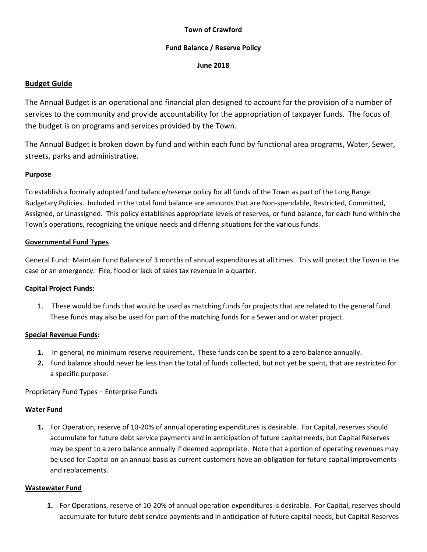#### **Town of Crawford**

#### **Fund Balance / Reserve Policy**

#### **June 2018**

## **Budget Guide**

The Annual Budget is an operational and financial plan designed to account for the provision of a number of services to the community and provide accountability for the appropriation of taxpayer funds. The focus of the budget is on programs and services provided by the Town.

The Annual Budget is broken down by fund and within each fund by functional area programs, Water, Sewer, streets, parks and administrative.

## **Purpose**

To establish a formally adopted fund balance/reserve policy for all funds of the Town as part of the Long Range Budgetary Policies. Included in the total fund balance are amounts that are Non-spendable, Restricted, Committed, Assigned, or Unassigned. This policy establishes appropriate levels of reserves, or fund balance, for each fund within the Town's operations, recognizing the unique needs and differing situations for the various funds.

## **Governmental Fund Types**

General Fund: Maintain Fund Balance of 3 months of annual expenditures at all times. This will protect the Town in the case or an emergency. Fire, flood or lack of sales tax revenue in a quarter.

## **Capital Project Funds:**

1. These would be funds that would be used as matching funds for projects that are related to the general fund. These funds may also be used for part of the matching funds for a Sewer and or water project.

## **Special Revenue Funds:**

- **1.** In general, no minimum reserve requirement. These funds can be spent to a zero balance annually.
- **2.** Fund balance should never be less than the total of funds collected, but not yet be spent, that are restricted for a specific purpose.

Proprietary Fund Types – Enterprise Funds

## **Water Fund**

**1.** For Operation, reserve of 10-20% of annual operating expenditures is desirable. For Capital, reserves should accumulate for future debt service payments and in anticipation of future capital needs, but Capital Reserves may be spent to a zero balance annually if deemed appropriate. Note that a portion of operating revenues may be used for Capital on an annual basis as current customers have an obligation for future capital improvements and replacements.

## **Wastewater Fund**

**1.** For Operations, reserve of 10-20% of annual operation expenditures is desirable. For Capital, reserves should accumulate for future debt service payments and in anticipation of future capital needs, but Capital Reserves